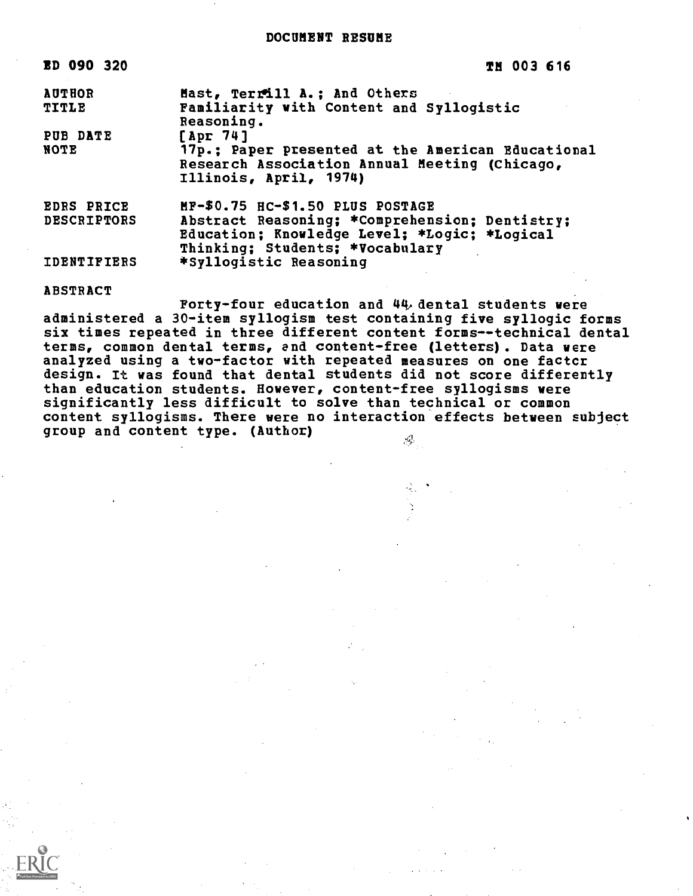| ED 090 320         | TH 003 616                                                                                                                   |
|--------------------|------------------------------------------------------------------------------------------------------------------------------|
| <b>AUTHOR</b>      | Mast, Terrill A.; And Others                                                                                                 |
| <b>TITLE</b>       | Familiarity with Content and Syllogistic<br>Reasoning.                                                                       |
| PUB DATE           | $[$ Apr $74]$                                                                                                                |
| NOTE               | 17p.: Paper presented at the American Educational<br>Research Association Annual Meeting (Chicago,<br>Illinois, April, 1974) |
| <b>EDRS PRICE</b>  | MF-\$0.75 HC-\$1.50 PLUS POSTAGE                                                                                             |
| <b>DESCRIPTORS</b> | Abstract Reasoning; *Comprehension; Dentistry;                                                                               |
|                    | Education; Knowledge Level; *Logic; *Logical<br>Thinking; Students; *Vocabulary                                              |
| <b>IDENTIFIERS</b> | *Syllogistic Reasoning                                                                                                       |

ABSTRACT

Forty-four education and 44, dental students were administered a 30-item syllogism test containing five syllogic forms six times repeated in three different content forms--technical dental terms, common dental terms, and content-free (letters). Data were analyzed using a two-factor with repeated measures on one factcr design. It was found that dental students did not score differently than education students. However, content-free syllogisms were significantly less difficult to solve than technical or common content syllogisms. There were no interaction effects between subject group and content type. (Author) $\mathcal{A}^1$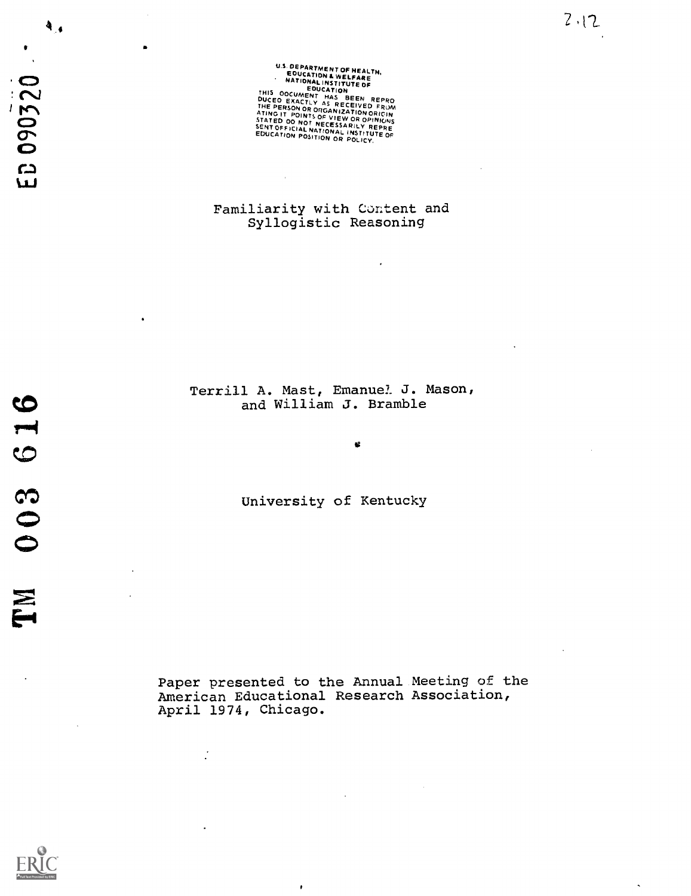ED 090320

 $\ddot{\mathbf{A}}_{\mathcal{A}}$ 

U.S. DEPARTMENT OF HEALTH,<br>EDUCATION & WELFARE **THUMAL INSTITUTE OF EDUCATION**<br>DUCEO EXACTLY AS RECEIVED FROM<br>THE PERSON OR ORGANIZATION ORIGIN<br>THE PERSON OR ORIGINIZATION<br>STATED OO NOT NECESSARILY REPRE<br>SENT OFFICIAL NATIONAL ALLY REPRE<br>SENT OFFICIAL NATIONAL ALLY REP EDUCATION POSITION OR POLICY.

Familiarity with Content and Syllogistic Reasoning

Terrill A. Mast, Emanuel J. Mason, and William J. Bramble

酱

University of Kentucky

Paper presented to the Annual Meeting of the American Educational Research Association, April 1974, Chicago.

 $\pmb{\cdot}$ 

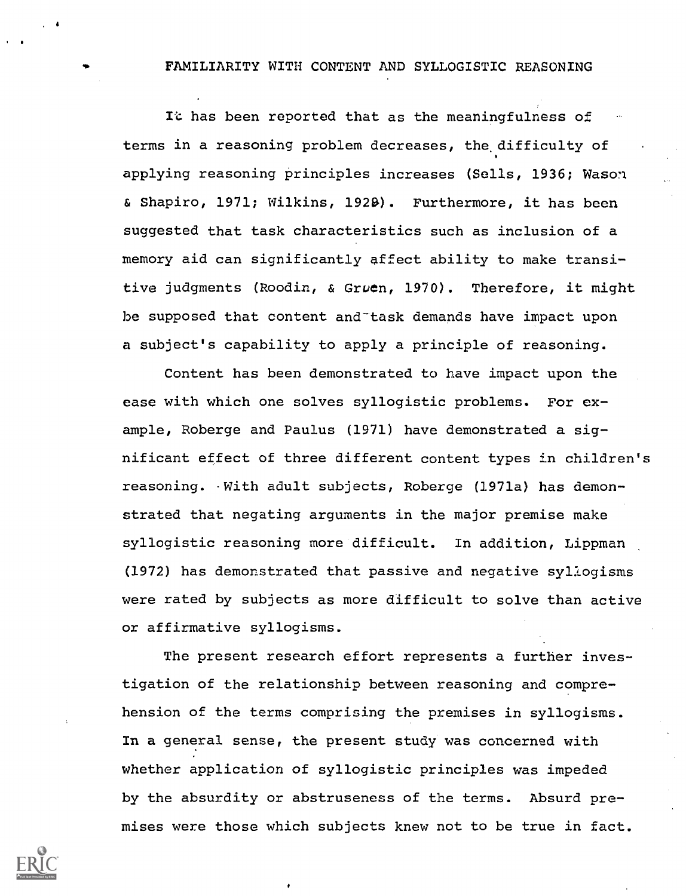# FAMILIARITY WITH CONTENT AND SYLLOGISTIC REASONING

Ic has been reported that as the meaningfulness of terms in a reasoning problem decreases, the difficulty of applying reasoning principles increases (Sells, 1936; Wason & Shapiro, 1971; Wilkins, 1928). Furthermore, it has been suggested that task characteristics such as inclusion of a memory aid can significantly affect ability to make transitive judgments (Roodin, & Gruen, 1970). Therefore, it might be supposed that content and-task demands have impact upon a subject's capability to apply a principle of reasoning.

Content has been demonstrated to have impact upon the ease with which one solves syllogistic problems. For example, Roberge and Paulus (1971) have demonstrated a significant effect of three different content types in children's reasoning. With adult subjects, Roberge (1971a) has demonstrated that negating arguments in the major premise make syllogistic reasoning more difficult. In addition, Lippman (1972) has demonstrated that passive and negative syllogisms were rated by subjects as more difficult to solve than active or affirmative syllogisms.

The present research effort represents a further investigation of the relationship between reasoning and comprehension of the terms comprising the premises in syllogisms. In a general sense, the present study was concerned with whether application of syllogistic principles was impeded by the absurdity or abstruseness of the terms. Absurd premises were those which subjects knew not to be true in fact.

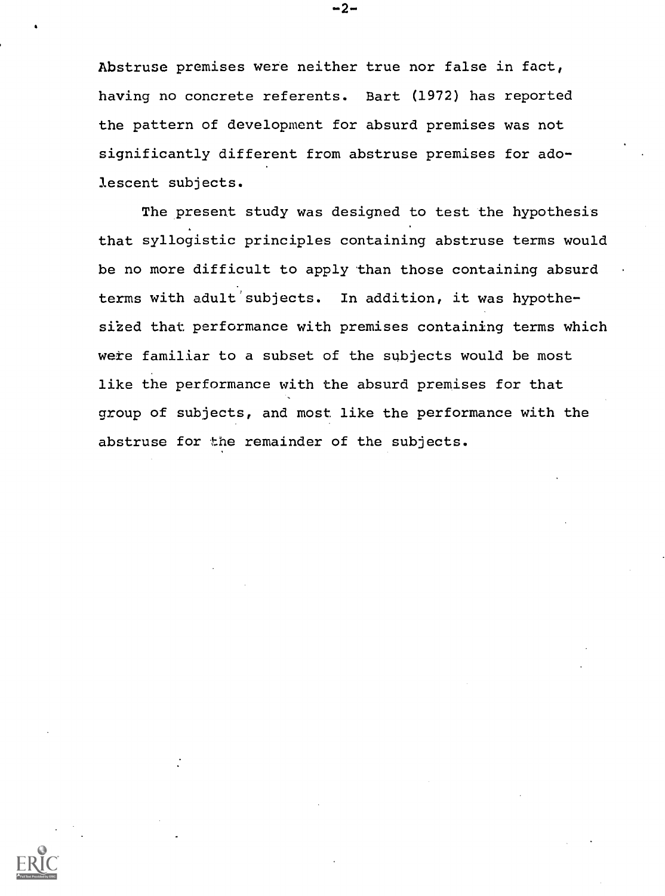Abstruse premises were neither true nor false in fact, having no concrete referents. Bart (1972) has reported the pattern of development for absurd premises was not significantly different from abstruse premises for adolescent subjects.

The present study was designed to test the hypothesis that syllogistic principles containing abstruse terms would be no more difficult to apply than those containing absurd terms with adult'subjects. In addition, it was hypothesized that performance with premises containing terms which were familiar to a subset of the subjects would be most like the performance with the absurd premises for that group of subjects, and most like the performance with the abstruse for the remainder of the subjects.

-2-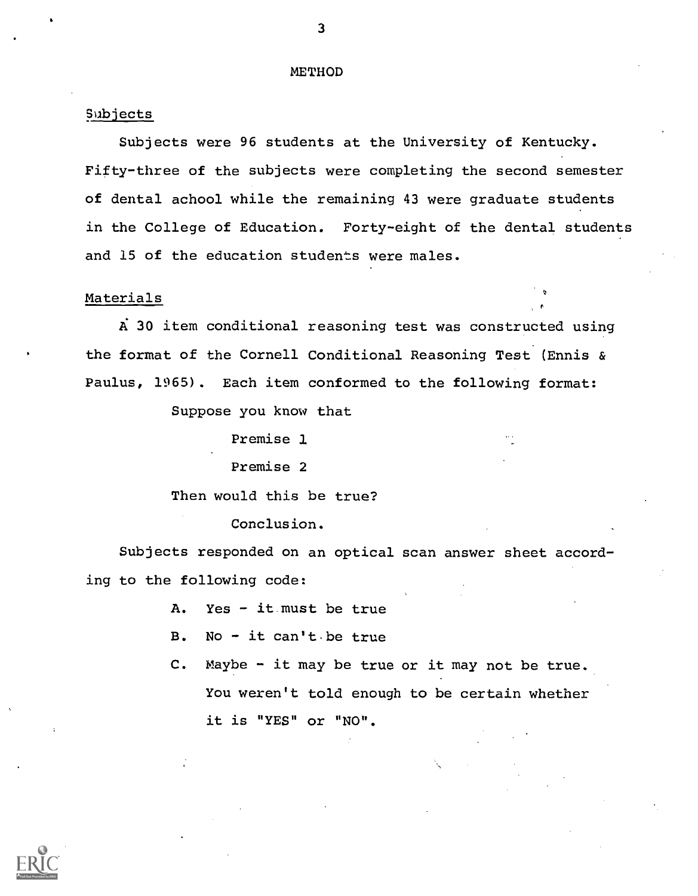### METHOD

# Subjects

Subjects were 96 students at the University of Kentucky. Fifty-three of the subjects were completing the second semester of dental achool while the remaining 43 were graduate students in the College of Education. Forty-eight of the dental students and 15 of the education students were males.

## Materials

A: 30 item conditional reasoning test was constructed using the format of the Cornell Conditional Reasoning Test (Ennis & Paulus, 1965). Each item conformed to the following format:

Suppose you know that

Premise 1

Premise 2

Then would this be true?

# Conclusion.

Subjects responded on an optical scan answer sheet according to the following code:

- A. Yes it must be true
- B. No  $-$  it can't be true
- C. Maybe it may be true or it may not be true. You weren't told enough to be certain whether it is "YES" or "NO".

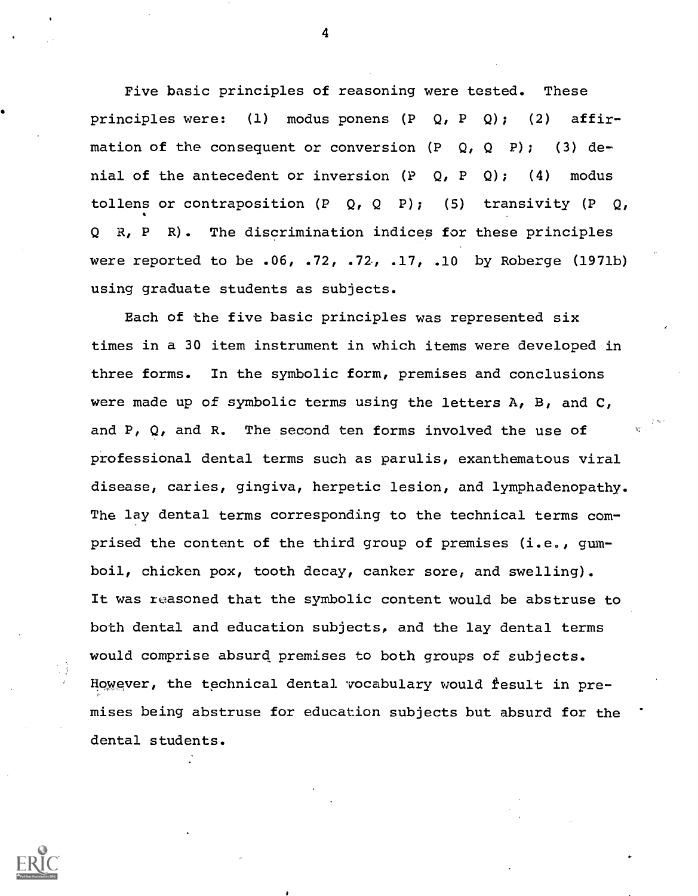Five basic principles of reasoning were tested. These principles were: (1) modus ponens (P Q, P Q); (2) affirmation of the consequent or conversion (P Q, Q P); nial of the antecedent or inversion  $(P Q, P Q)$ ; ( Q P); (3) de-Q); (4) modus tollens or contraposition  $(P \ Q, Q \ P)$ ; (5) transivity  $(P \ Q,$ Q R, P R). The discrimination indices for these principles were reported to be .06, .72, .72., .17, .10 by Roberge (1971b) using graduate students as subjects.

Each of the five basic principles was represented six times in a 30 item instrument in which items were developed in three forms. In the symbolic form, premises and conclusions were made up of symbolic terms using the letters  $A$ ,  $B$ , and  $C$ , and P,  $Q$ , and R. The second ten forms involved the use of professional dental terms such as parulis, exanthematous viral disease, caries, gingiva, herpetic lesion, and lymphadenopathy. The lay dental terms corresponding to the technical terms comprised the content of the third group of premises (i.e., gumboil, chicken pox, tooth decay, canker sore, and swelling). It was reasoned that the symbolic content would be abstruse to both dental and education subjects, and the lay dental terms would comprise absurd premises to both groups of subjects. However, the technical dental vocabulary would fesult in premises being abstruse for education subjects but absurd for the dental students.

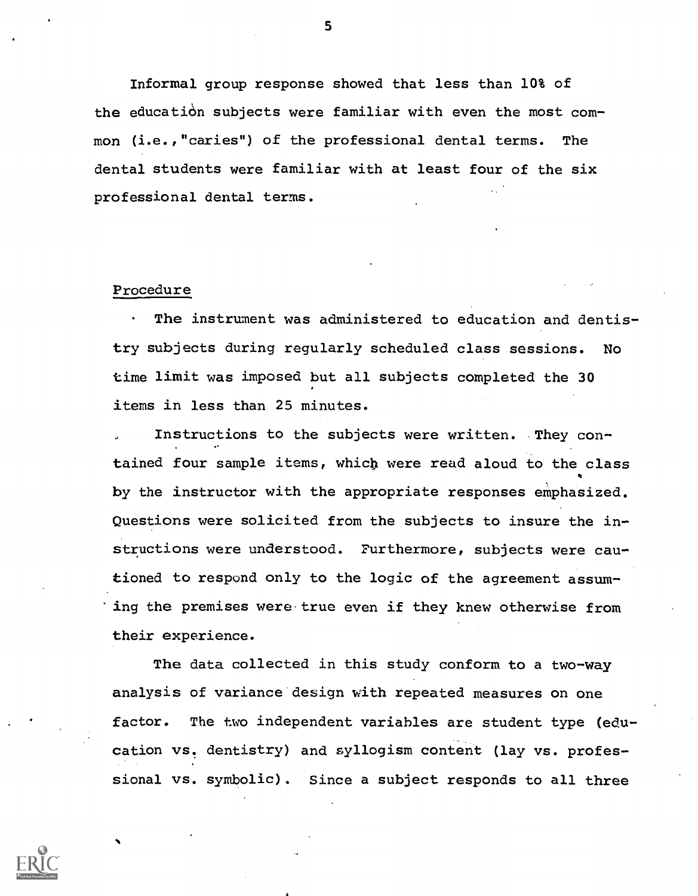Informal group response showed that less than 10% of the education subjects were familiar with even the most common (i.e.,"caries") of the professional dental terms. The dental students were familiar with at least four of the six professional dental terms.

#### Procedure

The instrument was administered to education and dentistry subjects during regularly scheduled class sessions. No time limit was imposed but all subjects completed the 30 items in less than 25 minutes.

Instructions to the subjects were written. They contained four sample items, which were read aloud to the class by the instructor with the appropriate responses emphasized. Questions were solicited from the subjects to insure the instructions were understood. Furthermore, subjects were cautioned to respond only to the logic of the agreement assuming the premises were true even if they knew otherwise from their experience.

The data collected in this study conform to a two-way analysis of variance design with repeated measures on one factor. The two independent variables are student type (education vs. dentistry) and syllogism content (lay vs. professional vs. symbolic). Since a subject responds to all three

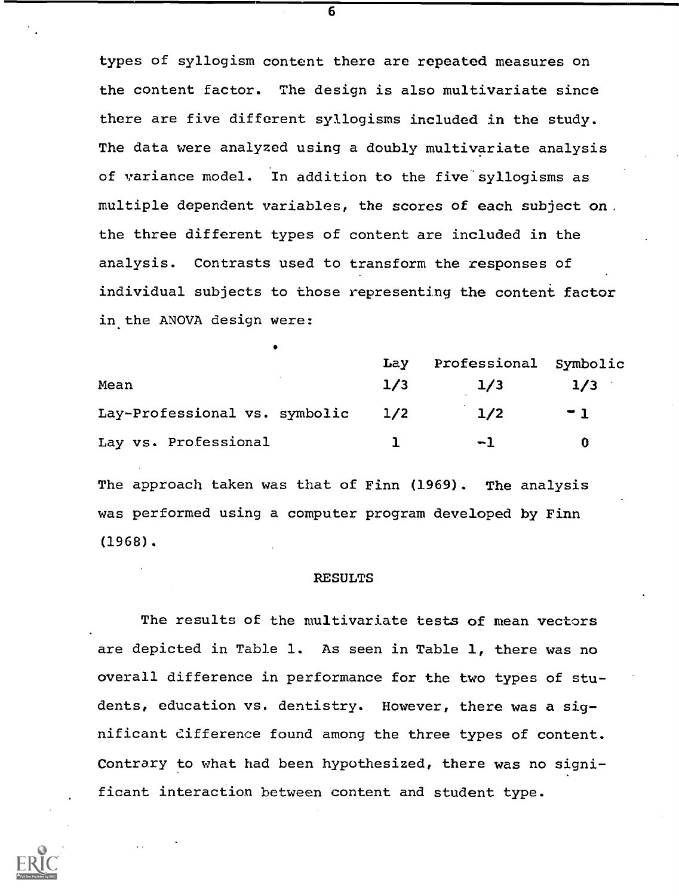types of syllogism content there are repeated measures on the content factor. The design is also multivariate since there are five different syllogisms included in the study. The data were analyzed using a doubly multivariate analysis of variance model. In addition to the five syllogisms as multiple dependent variables, the scores of each subject on. the three different types of content are included in the analysis. Contrasts used to transform the responses of individual subjects to those representing the content factor in the ANOVA design were:

|                               | Lay | Professional Symbolic |      |  |
|-------------------------------|-----|-----------------------|------|--|
| Mean                          | 1/3 | 1/3                   | 1/3  |  |
| Lay-Professional vs. symbolic | 1/2 | 1/2                   | $-1$ |  |
| Lay vs. Professional          |     | $-1$                  |      |  |

The approach taken was that of Finn (1969). The analysis was performed using a computer program developed by Finn (1968).

#### RESULTS

The results of the multivariate tests of mean vectors are depicted in Table 1. As seen in Table 1, there was no overall difference in performance for the two types of students, education vs. dentistry. However, there was a significant difference found among the three types of content. Contrary to what had been hypothesized, there was no significant interaction between content and student type.

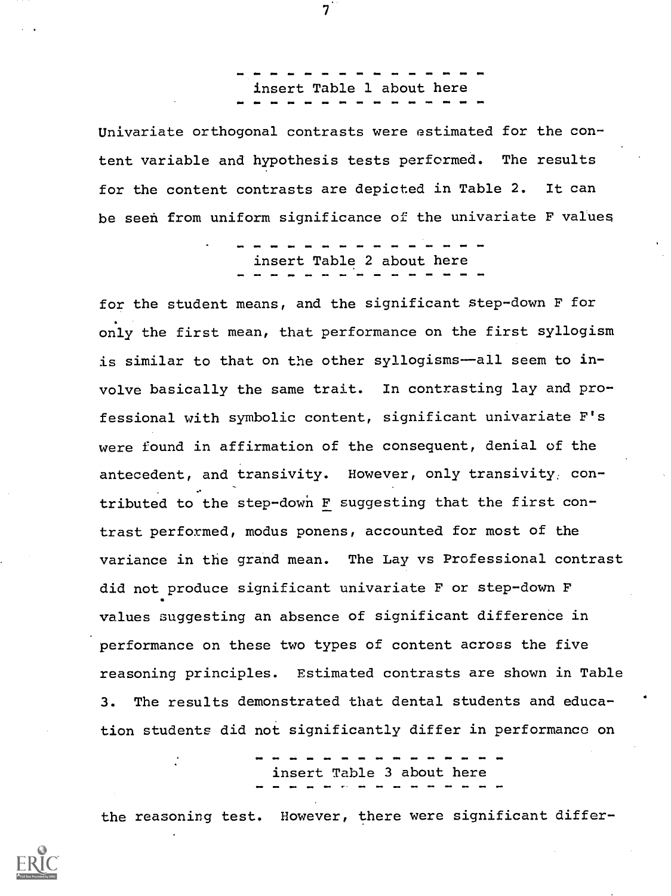insert Table 1 about here

Univariate orthogonal contrasts were estimated for the content variable and hypothesis tests performed. The results for the content contrasts are depicted in Table 2. It can be seen from uniform significance of the univariate F values

insert Table 2 about here

for the student means, and the significant Step-down F for only the first mean, that performance on the first syllogism is similar to that on the other syllogisms--all seem to involve basically the same trait. In contrasting lay and professional with symbolic content, significant univariate F's were found in affirmation of the consequent, denial of the antecedent, and transivity. However, only transivity; contributed to the step-down F suggesting that the first contrast performed, modus ponens, accounted for most of the variance in the grand mean. The Lay vs Professional contrast did not produce significant univariate F or step-down F values suggesting an absence of significant difference in performance on these two types of content across the five reasoning principles. Estimated contrasts are shown in Table 3. The results demonstrated that dental students and education students did not significantly differ in performance on

insert Table 3 about here

the reasoning test. However, there were significant differ-



 $7\phantom{.}$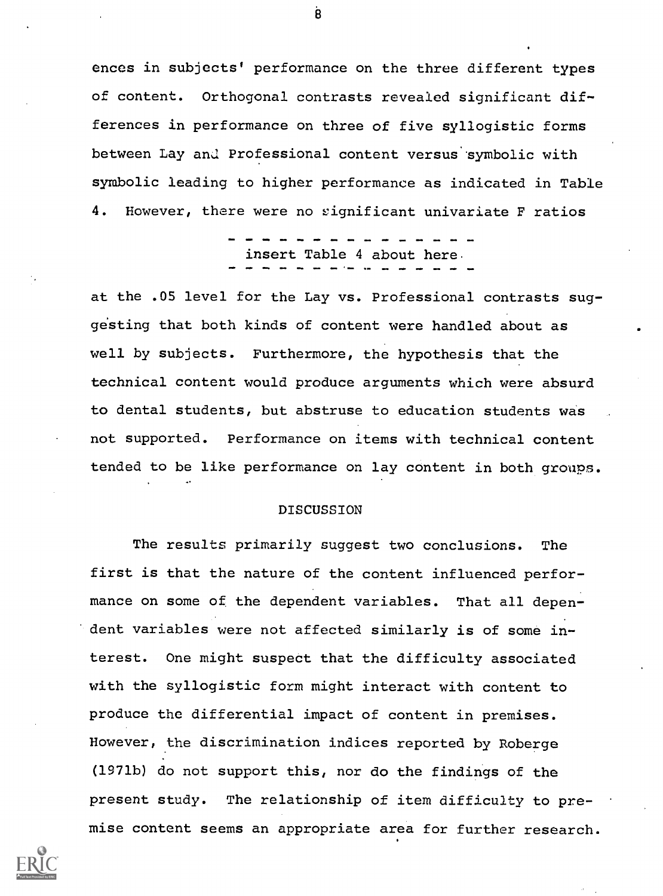ences in subjects' performance on the three different types of content. Orthogonal contrasts revealed significant differences in performance on three of five syllogistic forms between Lay and Professional content versus' symbolic with symbolic leading to higher performance as indicated in Table 4. However, there were no significant univariate F ratios

insert Table 4 about here

at the .05 level for the Lay vs. Professional contrasts suggesting that both kinds of content were handled about as well by subjects. Furthermore, the hypothesis that the technical content would produce arguments which were absurd to dental students, but abstruse to education students was not supported. Performance on items with technical content tended to be like performance on lay content in both groups.

#### DISCUSSION

The results primarily suggest two conclusions. The first is that the nature of the content influenced performance on some of the dependent variables. That all dependent variables were not affected similarly is of some interest. One might suspect that the difficulty associated with the syllogistic form might interact with content to produce the differential impact of content in premises. However, the discrimination indices reported by Roberge (1971b) do not support this, nor do the findings of the present study. The relationship of item difficulty to premise content seems an appropriate area for further research.



 $\ddot{\mathbf{g}}$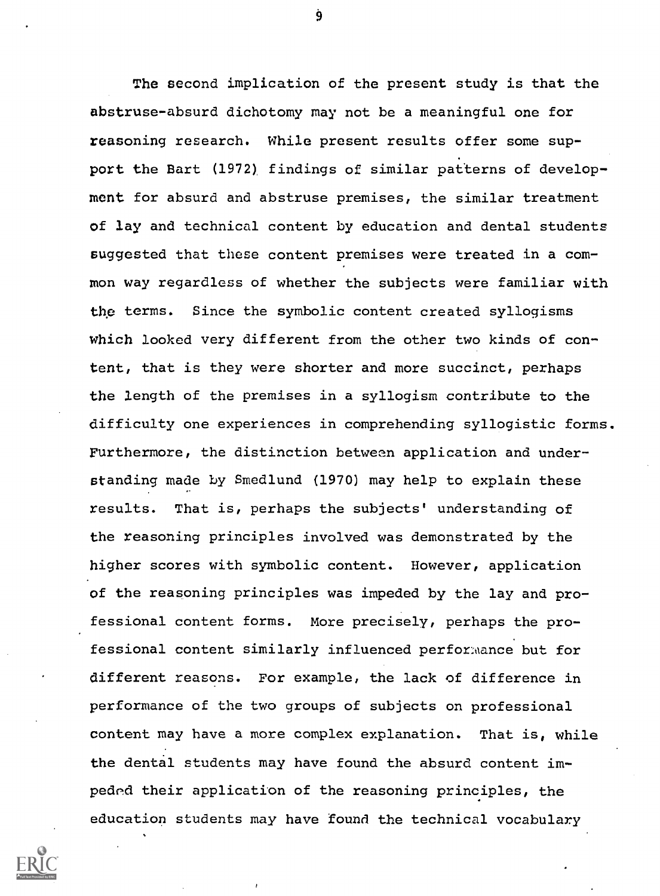The second implication of the present study is that the abstruse-absurd dichotomy may not be a meaningful one for reasoning research. While present results offer some support the Bart (1972), findings of similar patterns of development for absurd and abstruse premises, the similar treatment of lay and technical content by education and dental students suggested that these content premises were treated in a common way regardless of whether the subjects were familiar with the terms. Since the symbolic content created syllogisms which looked very different from the other two kinds of content, that is they were shorter and more succinct, perhaps the length of the premises in a syllogism contribute to the difficulty one experiences in comprehending syllogistic forms. Furthermore, the distinction between application and understanding made by Smedlund (1970) may help to explain these results. That is, perhaps the subjects' understanding of the reasoning principles involved was demonstrated by the higher scores with symbolic content. However, application of the reasoning principles was impeded by the lay and professional content forms. More precisely, perhaps the professional content similarly influenced perforMance but for different reasons. For example, the lack of difference in performance of the two groups of subjects on professional content may have a more complex explanation. That is, while the dental students may have found the absurd content impeded their application of the reasoning principles, the education students may have found the technical vocabulary

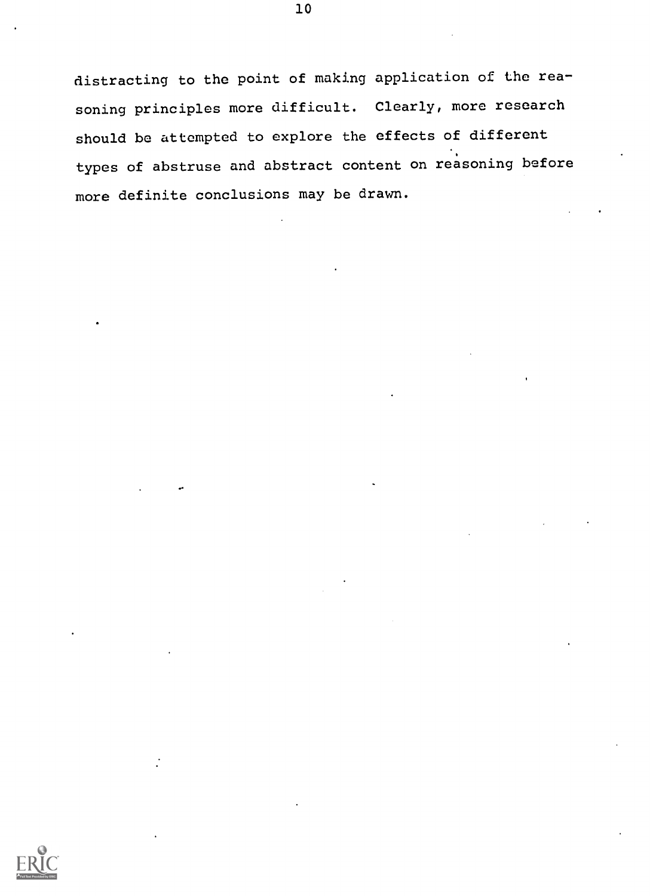distracting to the point of making application of the reasoning principles more difficult. Clearly, more research should be attempted to explore the effects of different types of abstruse and abstract content on reasoning before more definite conclusions may be drawn.

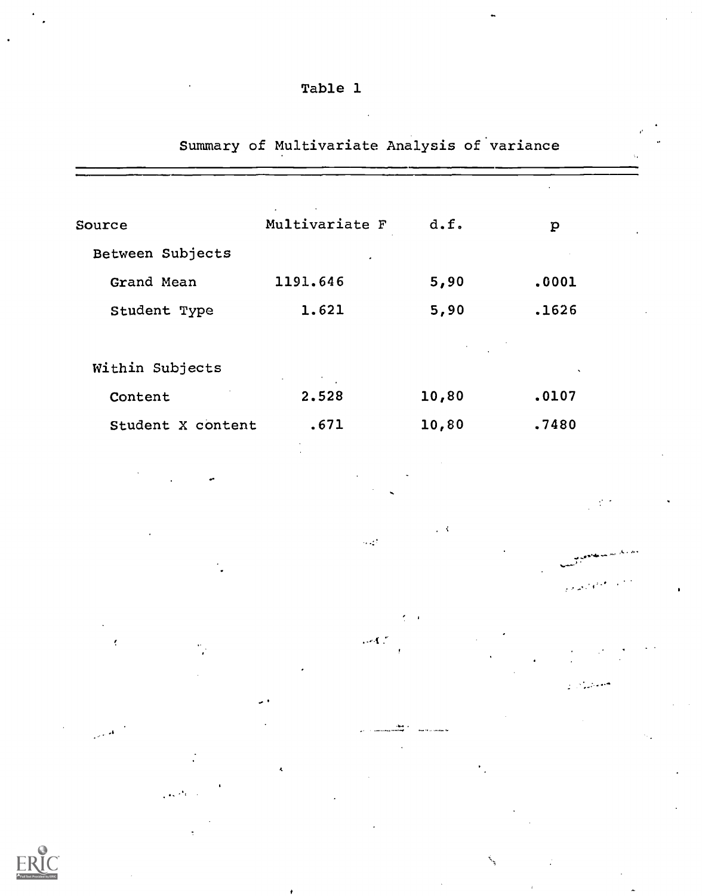|                   | $\sim$                                                    |                                                                                                                                                   |              |  |
|-------------------|-----------------------------------------------------------|---------------------------------------------------------------------------------------------------------------------------------------------------|--------------|--|
| Source            | Multivariate F                                            | d.f.                                                                                                                                              | $\mathbf{p}$ |  |
| Between Subjects  | ٠                                                         |                                                                                                                                                   |              |  |
| Grand Mean        | 1191.646                                                  | 5,90                                                                                                                                              | .0001        |  |
| Student Type      | 1.621                                                     | 5,90                                                                                                                                              | .1626        |  |
|                   |                                                           | $\label{eq:2.1} \mathcal{L}(\mathcal{L}) = \mathcal{L}(\mathcal{L}) \mathcal{L}(\mathcal{L}) = \mathcal{L}(\mathcal{L}) \mathcal{L}(\mathcal{L})$ |              |  |
| Within Subjects   | $\mathcal{L}_{\text{max}}$ and $\mathcal{L}_{\text{max}}$ |                                                                                                                                                   |              |  |
| Content           | 2.528                                                     | 10,80                                                                                                                                             | .0107        |  |
| Student X content | .671                                                      | 10,80                                                                                                                                             | .7480        |  |

Summary of Multivariate Analysis of variance

Table 1



ŗ

 $\sim 3$ 

. . **. .** . .

 $\sim 12$ 

 $\log C$ 

 $\overline{\mathcal{L}}$  $\mathbf{r}$ 

متعادلين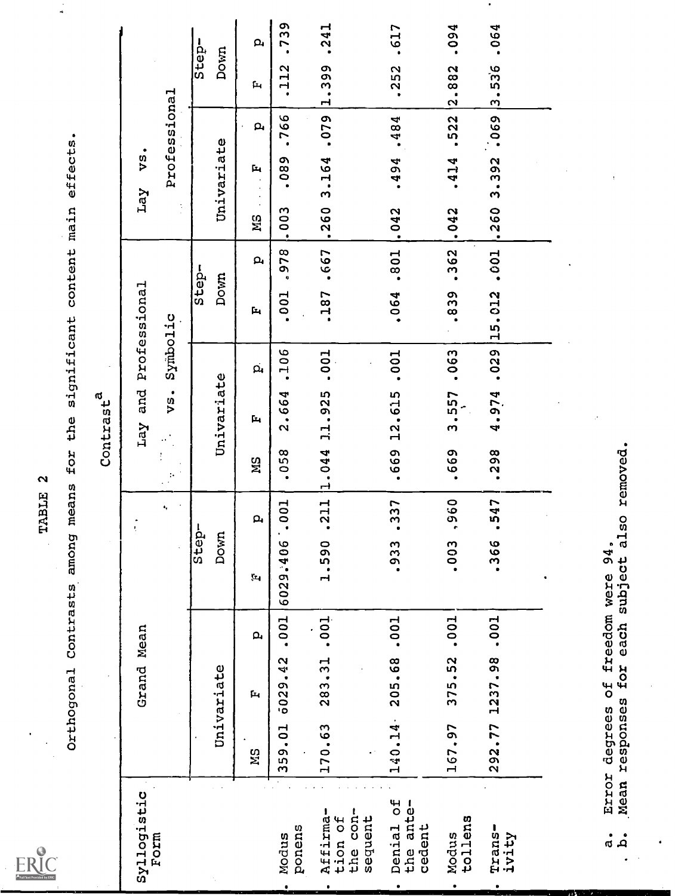$\frac{1}{4}$ 

| $\underbrace{\prod_{\text{new}}}\limits_{\text{true}}$ |                |            |                |              | RERK              | $\mathbf{\Omega}$    |                                |                    |                                   |              |           |            |              |                |              |
|--------------------------------------------------------|----------------|------------|----------------|--------------|-------------------|----------------------|--------------------------------|--------------------|-----------------------------------|--------------|-----------|------------|--------------|----------------|--------------|
|                                                        |                | Orthogonal | Contrasts      | among        | means             | for the              |                                |                    | significant content main effects. |              |           |            |              |                |              |
|                                                        |                |            |                |              |                   |                      | Contrast <sup>a</sup>          |                    |                                   |              |           |            |              |                |              |
| Syllogistic<br>Form                                    |                | Grand Mean |                |              |                   | ł,                   | and<br>Lay                     |                    | Professional                      |              | Lay       | ٠<br>VS,   |              |                |              |
|                                                        |                |            |                |              | ۰,                | $\ddot{\phantom{a}}$ | vs.<br>$\hat{\sigma}^{\prime}$ | Symbolic           |                                   |              | ÷,        |            | Professional |                |              |
|                                                        |                |            |                | Step-        |                   |                      |                                |                    | Step-                             |              |           |            |              |                | Step-        |
|                                                        |                | Univariate |                | Down         |                   |                      | Univariate                     |                    | Down                              |              |           | Univariate |              | Down           |              |
|                                                        | <b>NS</b>      | Ĺ,         | $\mathbf{p}_i$ | ţ.,          | $\mathbf{a}$      | ЙS                   | $\mathbf{p}_1$                 | $\vec{\mathbf{p}}$ | $\mathbf{r}_1$                    | $\mathbf{p}$ | <b>MS</b> | Þч         | $\mathbf{a}$ | $\mathbf{L}_1$ | $\mathbf{a}$ |
| ponens<br>Modus                                        | 359.01         | 5029.42    | .001           | 905.6209     | .001<br>$\bullet$ | .058                 | 2.664                          | .106               | .001                              | 878          | $-003$    | .089       | .766         | .112           | .739         |
| Affirma-<br>$cn -$<br>sequent<br>tion of<br>the        | 170.63         | 283.31     | .001           | 1.590        | .211              | 1.044                | 11.925                         | .001               | -187                              | .667         | .260      | 3.164      | .079         | 1.399          | .241         |
| Denial of<br>the ante-<br>cedent                       | 140.14         | 205.68     | .001           | .933         | .337              | .669                 | 12.615                         | .001               | .064                              | .801         | $-042$    | .494       | $-484$       | .252           | .617         |
| tollens<br>Modus                                       | 167.97         | 375.52     | .001           | .003         | ,960              | .669                 | 3.557                          | .063               | .839                              | .362         | .042      | $-414$     | .522         | 2.882          | .094         |
| Trans-<br>ivity                                        | 292.77         | 1237.98    | .001           | .366         | .547              | .298                 | 4.974                          | .029               | 15.012                            | .001         | 1.260     | 3.392      | 069          | 3.536          | .064         |
| <b>ETTOI</b><br>$\mathfrak{a}$                         | degrees        | უ<br>ბ     | freedom were   | 94.          |                   |                      |                                |                    |                                   |              |           |            |              |                |              |
| مُ <b>.</b>                                            | Mean responses | for        |                | each subject | also              | removed.             |                                |                    |                                   |              |           |            |              |                |              |
|                                                        |                |            |                |              |                   |                      |                                |                    |                                   |              |           |            |              |                |              |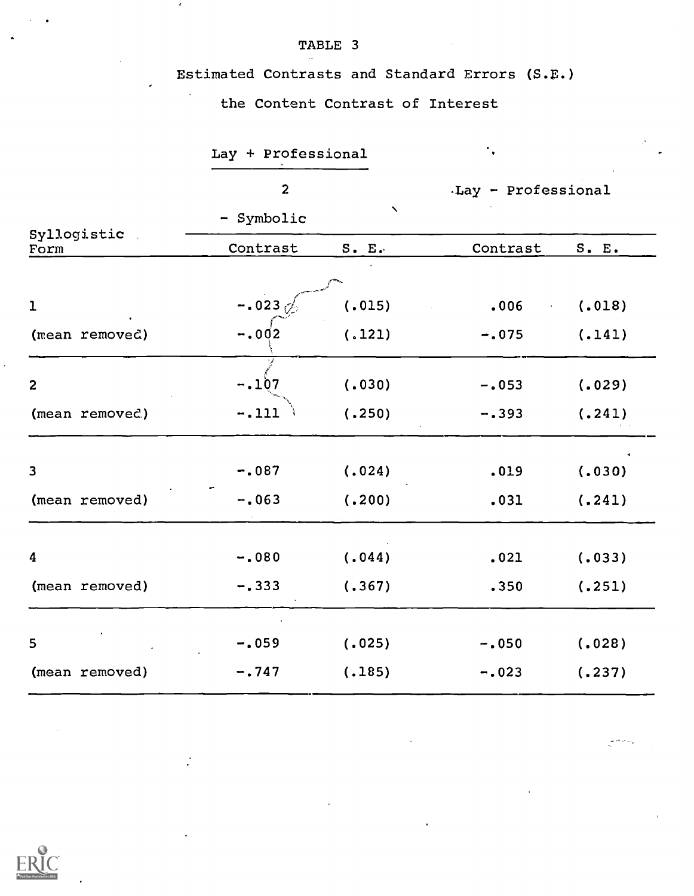# Estimated Contrasts and Standard Errors (S.E.)

# the Content Contrast of Interest

TABLE 3

 $\mathcal{A}^{\pm}$ 

|                         | Lay + Professional |                           |                                    |        |
|-------------------------|--------------------|---------------------------|------------------------------------|--------|
|                         | $\overline{c}$     |                           | Lay - Professional                 |        |
|                         | - Symbolic         | $\boldsymbol{\checkmark}$ |                                    |        |
| Syllogistic<br>Form     | Contrast           | S. E.                     | Contrast                           | S. E.  |
|                         |                    |                           |                                    |        |
| $\mathbf{1}$            | $-.0230$           | (.015)                    | .006<br>$\mathcal{L}^{\text{max}}$ | (.018) |
| (mean removed)          | $-.002$            | (.121)                    | $-.075$                            | (.141) |
| $\overline{\mathbf{c}}$ | $-.107$            | (.030)                    | $-.053$                            | (.029) |
| (mean removed)          | $-.111$            | (.250)                    | $-.393$                            | (.241) |
|                         |                    |                           |                                    |        |
| 3                       | $-.087$            | (.024)                    | .019                               | (.030) |
| (mean removed)          | $-.063$            | (.200)                    | .031                               | (.241) |
| 4                       | $-.080$            | (.044)                    | .021                               | (.033) |
| (mean removed)          | $-.333$            | (.367)                    | .350                               | (.251) |
|                         |                    |                           |                                    |        |
| 5                       | $-.059$            | (.025)                    | $-.050$                            | (.028) |
| (mean removed)          | $-.747$            | (.185)                    | $-.023$                            | (.237) |

يتبايع الجابي

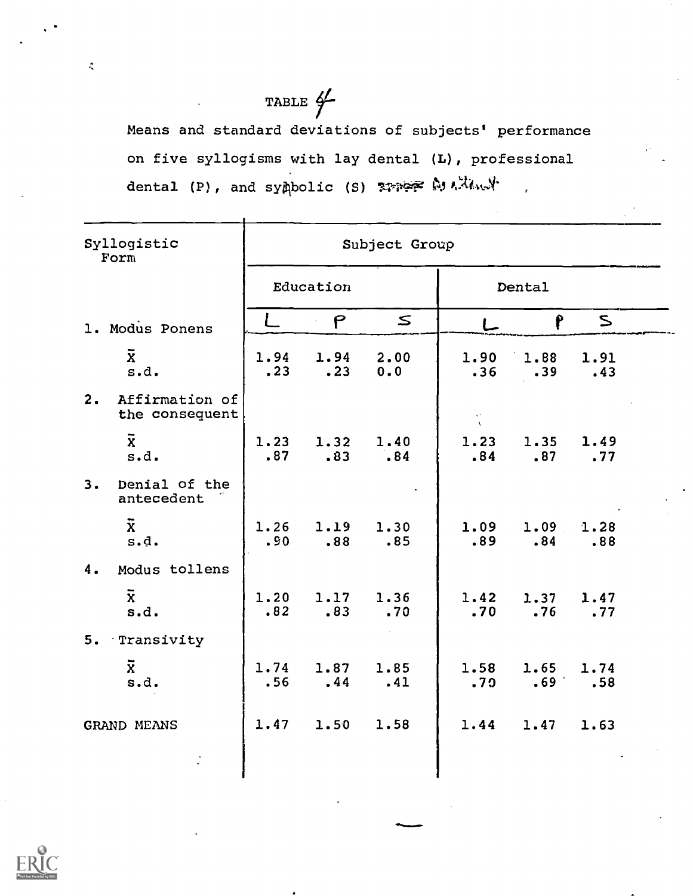# TABLE  $\frac{d}{ }$

Means and standard deviations of subjects' performance on five syllogisms with lay dental (L), professional dental (P), and sympolic (S) somer within y

| Syllogistic<br>Form                    | Subject Group |              |             |                             |                |             |
|----------------------------------------|---------------|--------------|-------------|-----------------------------|----------------|-------------|
|                                        |               | Education    |             |                             | Dental         |             |
| 1. Modus Ponens                        |               | $\mathsf{P}$ | $\leq$      |                             | P.             | $\leq$      |
| $\overline{\mathbf{x}}$<br>s.d.        | 1.94<br>.23   | 1.94<br>.23  | 2.00<br>0.0 | 1.90<br>.36                 | 1.88<br>.39    | 1.91<br>.43 |
| 2.<br>Affirmation of<br>the consequent |               |              |             | $\chi\sigma$<br>$\Lambda$ . |                |             |
| $\overline{\mathbf{x}}$<br>s.d.        | 1.23<br>.87   | 1.32<br>.83  | 1.40<br>.84 | 1.23<br>.84                 | 1.35<br>.87    | 1.49<br>.77 |
| Denial of the<br>3.<br>antecedent      |               |              |             |                             |                |             |
| $\overline{\mathbf{x}}$<br>s.d.        | 1.26<br>.90   | 1.19<br>.88  | 1.30<br>.85 | 1.09<br>.89                 | 1.09<br>.84    | 1.28<br>.88 |
| Modus tollens<br>4.                    |               |              |             |                             |                |             |
| $\overline{x}$<br>s.d.                 | 1.20<br>.82   | 1.17<br>.83  | 1.36<br>.70 | 1.42<br>.70                 | 1.37<br>.76    | 1.47<br>.77 |
| Transivity<br>5.                       |               |              |             |                             |                |             |
| $\overline{x}$<br>s.d.                 | 1.74<br>.56   | 1.87<br>.44  | 1.85<br>.41 | 1.58<br>.79                 | 1.65<br>$.69+$ | 1.74<br>.58 |
| GRAND MEANS                            | 1.47          | 1.50         | 1.58        | 1.44                        | 1.47           | 1.63        |
|                                        |               |              |             |                             |                |             |



 $\mathcal{L}$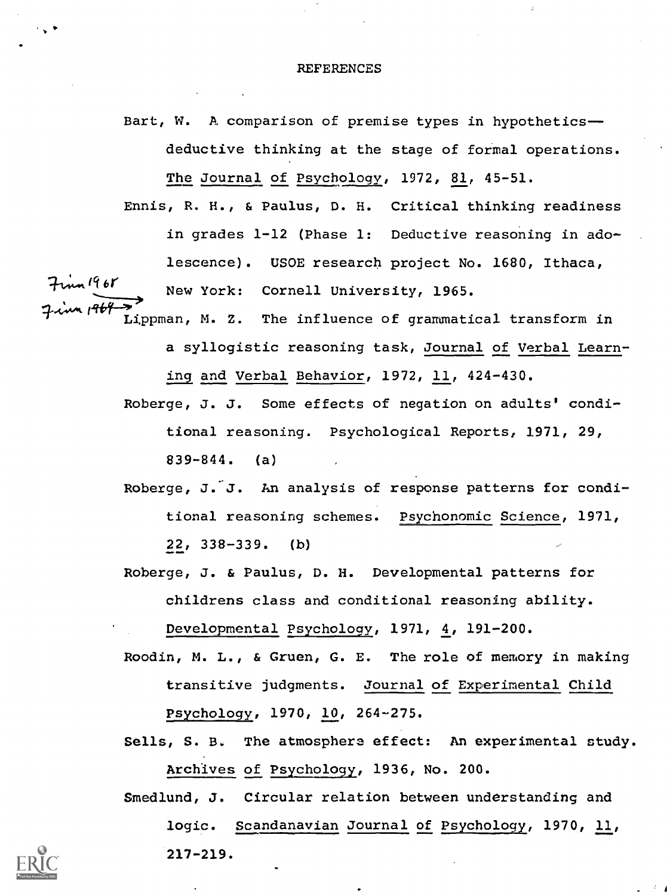#### REFERENCES

Bart, W. A comparison of premise types in hypothetics-deductive thinking at the stage of formal operations. The Journal of Psychology, 1972, 81, 45-51.

Ennis, R. H., & Paulus, D. H. Critical thinking readiness in grades  $l-12$  (Phase 1: Deductive reasoning in adolescence). USOE research project No. 1680, Ithaca,  $\overline{b}$  New York: Cornell University, 1965. Lippman, M. Z. The influence of grammatical transform in

- a syllogistic reasoning task, Journal of Verbal Learning and Verbal Behavior, 1972, 11, 424-430.
	- Roberge, J. J. Some effects of negation on adults' conditional reasoning. Psychological Reports, 1971, 29, 839-844. (a)
	- Roberge, J. J. An analysis of response patterns for conditional reasoning schemes. Psychonomic Science, 1971, 22, 338-339. (b)
	- Roberge, J. & Paulus, D. H. Developmental patterns for childrens class and conditional reasoning ability.

Developmental Psychology, 1971, 4, 191-200.

- Roodin, M. L., & Gruen, G. E. The role of memory in making transitive judgments. Journal of Experimental Child Psychology, 1970, 10, 264-275.
- Sells, S. B. The atmosphere effect: An experimental study. Archives of Psychology, 1936, No. 200.
- Smedlund, J. Circular relation between understanding and logic. Scandanavian Journal of Psychology, 1970, 11, 217-219.